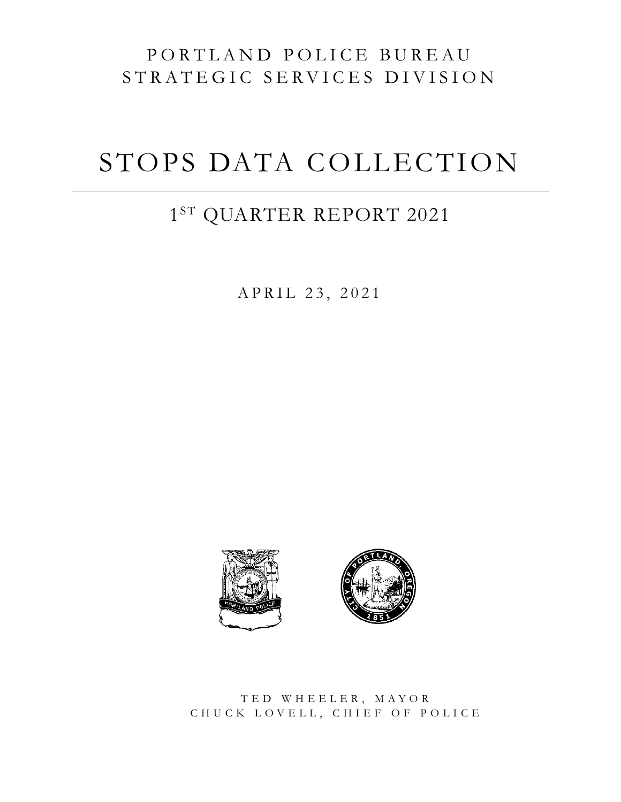# PORTLAND POLICE BUREAU STRATEGIC SERVICES DIVISION

# STOPS DATA COLLECTION

# $1^{\rm ST}$ QUARTER REPORT 2021

APRIL 23, 2021





TED WHEELER, MAYOR CHUCK LOVELL, CHIEF OF POLICE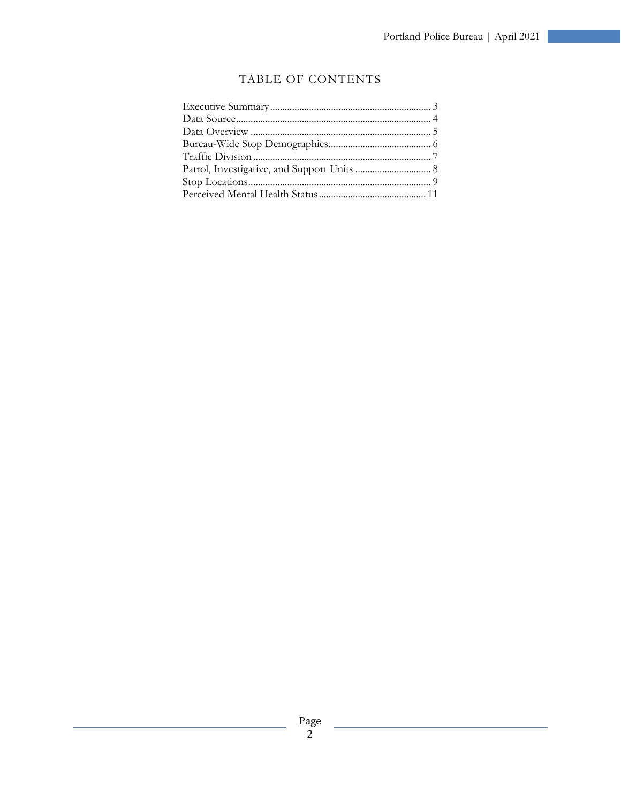<u> 1980 - Johann Barnett, fransk politiker (</u>

#### TABLE OF CONTENTS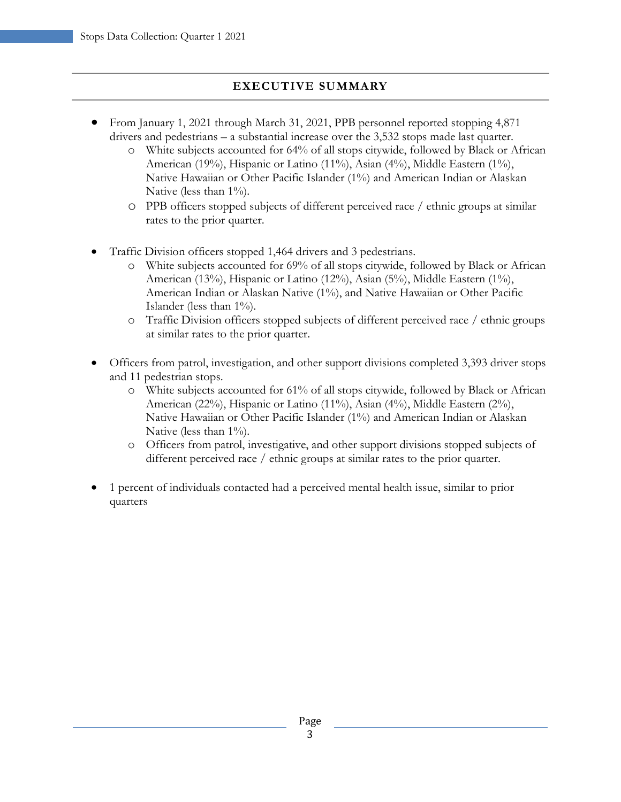### **EXECUTIVE SUMMARY**

- <span id="page-2-0"></span>• From January 1, 2021 through March 31, 2021, PPB personnel reported stopping 4,871 drivers and pedestrians – a substantial increase over the 3,532 stops made last quarter.
	- o White subjects accounted for 64% of all stops citywide, followed by Black or African American (19%), Hispanic or Latino (11%), Asian (4%), Middle Eastern (1%), Native Hawaiian or Other Pacific Islander (1%) and American Indian or Alaskan Native (less than  $1\%$ ).
	- o PPB officers stopped subjects of different perceived race / ethnic groups at similar rates to the prior quarter.
- Traffic Division officers stopped 1,464 drivers and 3 pedestrians.
	- o White subjects accounted for 69% of all stops citywide, followed by Black or African American (13%), Hispanic or Latino (12%), Asian (5%), Middle Eastern (1%), American Indian or Alaskan Native (1%), and Native Hawaiian or Other Pacific Islander (less than 1%).
	- o Traffic Division officers stopped subjects of different perceived race / ethnic groups at similar rates to the prior quarter.
- Officers from patrol, investigation, and other support divisions completed 3,393 driver stops and 11 pedestrian stops.
	- o White subjects accounted for 61% of all stops citywide, followed by Black or African American (22%), Hispanic or Latino (11%), Asian (4%), Middle Eastern (2%), Native Hawaiian or Other Pacific Islander (1%) and American Indian or Alaskan Native (less than  $1\%$ ).
	- o Officers from patrol, investigative, and other support divisions stopped subjects of different perceived race / ethnic groups at similar rates to the prior quarter.
- 1 percent of individuals contacted had a perceived mental health issue, similar to prior quarters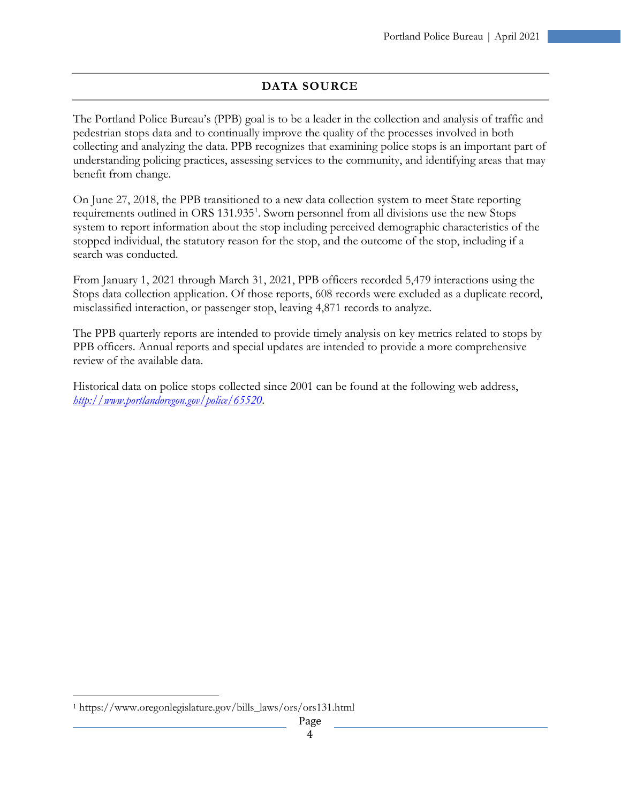# **DATA SOURCE**

<span id="page-3-0"></span>The Portland Police Bureau's (PPB) goal is to be a leader in the collection and analysis of traffic and pedestrian stops data and to continually improve the quality of the processes involved in both collecting and analyzing the data. PPB recognizes that examining police stops is an important part of understanding policing practices, assessing services to the community, and identifying areas that may benefit from change.

On June 27, 2018, the PPB transitioned to a new data collection system to meet State reporting requirements outlined in ORS [1](#page-3-1)31.935<sup>1</sup>. Sworn personnel from all divisions use the new Stops system to report information about the stop including perceived demographic characteristics of the stopped individual, the statutory reason for the stop, and the outcome of the stop, including if a search was conducted.

From January 1, 2021 through March 31, 2021, PPB officers recorded 5,479 interactions using the Stops data collection application. Of those reports, 608 records were excluded as a duplicate record, misclassified interaction, or passenger stop, leaving 4,871 records to analyze.

The PPB quarterly reports are intended to provide timely analysis on key metrics related to stops by PPB officers. Annual reports and special updates are intended to provide a more comprehensive review of the available data.

Historical data on police stops collected since 2001 can be found at the following web address, *<http://www.portlandoregon.gov/police/65520>*.

<span id="page-3-1"></span> <sup>1</sup> https://www.oregonlegislature.gov/bills\_laws/ors/ors131.html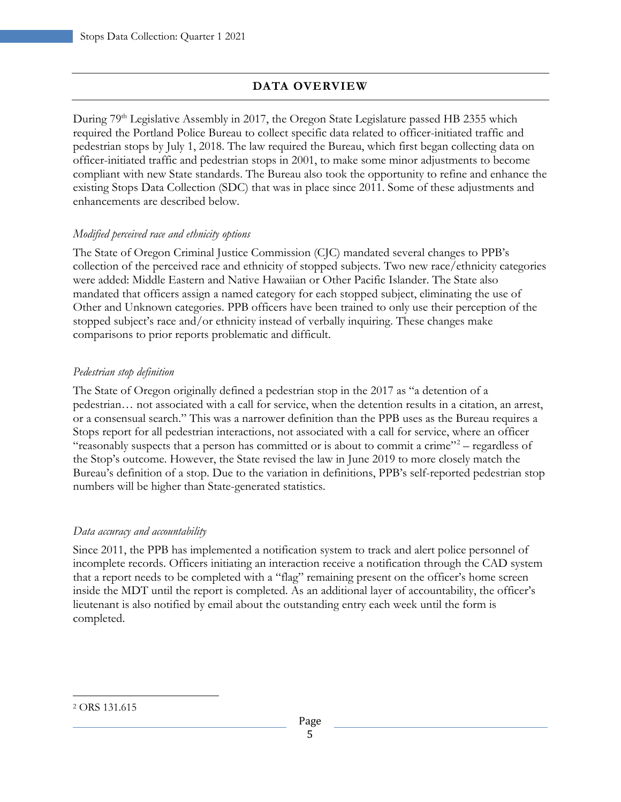# **DATA OVERVIEW**

<span id="page-4-0"></span>During 79<sup>th</sup> Legislative Assembly in 2017, the Oregon State Legislature passed HB 2355 which required the Portland Police Bureau to collect specific data related to officer-initiated traffic and pedestrian stops by July 1, 2018. The law required the Bureau, which first began collecting data on officer-initiated traffic and pedestrian stops in 2001, to make some minor adjustments to become compliant with new State standards. The Bureau also took the opportunity to refine and enhance the existing Stops Data Collection (SDC) that was in place since 2011. Some of these adjustments and enhancements are described below.

#### *Modified perceived race and ethnicity options*

The State of Oregon Criminal Justice Commission (CJC) mandated several changes to PPB's collection of the perceived race and ethnicity of stopped subjects. Two new race/ethnicity categories were added: Middle Eastern and Native Hawaiian or Other Pacific Islander. The State also mandated that officers assign a named category for each stopped subject, eliminating the use of Other and Unknown categories. PPB officers have been trained to only use their perception of the stopped subject's race and/or ethnicity instead of verbally inquiring. These changes make comparisons to prior reports problematic and difficult.

#### *Pedestrian stop definition*

The State of Oregon originally defined a pedestrian stop in the 2017 as "a detention of a pedestrian… not associated with a call for service, when the detention results in a citation, an arrest, or a consensual search." This was a narrower definition than the PPB uses as the Bureau requires a Stops report for all pedestrian interactions, not associated with a call for service, where an officer "reasonably suspects that a person has committed or is about to commit a crime"<sup>[2](#page-4-1)</sup> – regardless of the Stop's outcome. However, the State revised the law in June 2019 to more closely match the Bureau's definition of a stop. Due to the variation in definitions, PPB's self-reported pedestrian stop numbers will be higher than State-generated statistics.

#### *Data accuracy and accountability*

Since 2011, the PPB has implemented a notification system to track and alert police personnel of incomplete records. Officers initiating an interaction receive a notification through the CAD system that a report needs to be completed with a "flag" remaining present on the officer's home screen inside the MDT until the report is completed. As an additional layer of accountability, the officer's lieutenant is also notified by email about the outstanding entry each week until the form is completed.

<span id="page-4-1"></span> <sup>2</sup> ORS 131.615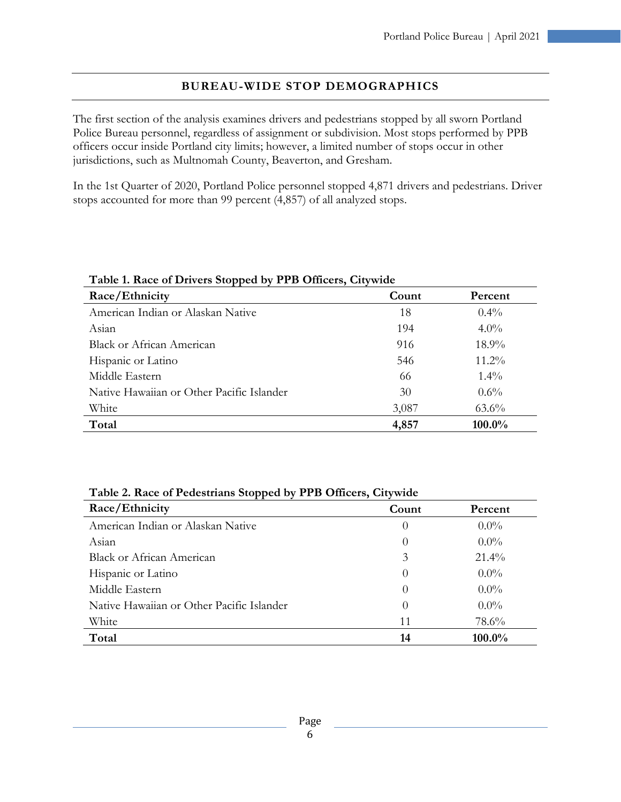#### **BUREAU-WIDE STOP DEMOGRAPHICS**

<span id="page-5-0"></span>The first section of the analysis examines drivers and pedestrians stopped by all sworn Portland Police Bureau personnel, regardless of assignment or subdivision. Most stops performed by PPB officers occur inside Portland city limits; however, a limited number of stops occur in other jurisdictions, such as Multnomah County, Beaverton, and Gresham.

In the 1st Quarter of 2020, Portland Police personnel stopped 4,871 drivers and pedestrians. Driver stops accounted for more than 99 percent (4,857) of all analyzed stops.

| $=$ $\frac{1}{2}$ $\frac{1}{2}$ $\frac{1}{2}$ $\frac{1}{2}$ $\frac{1}{2}$ $\frac{1}{2}$ $\frac{1}{2}$ $\frac{1}{2}$ $\frac{1}{2}$ $\frac{1}{2}$ $\frac{1}{2}$ $\frac{1}{2}$ $\frac{1}{2}$ $\frac{1}{2}$ $\frac{1}{2}$ $\frac{1}{2}$ $\frac{1}{2}$ $\frac{1}{2}$ $\frac{1}{2}$ $\frac{1}{2}$ $\frac{1}{2}$ $\frac{1}{2$ |       |          |  |
|------------------------------------------------------------------------------------------------------------------------------------------------------------------------------------------------------------------------------------------------------------------------------------------------------------------------|-------|----------|--|
| Race/Ethnicity                                                                                                                                                                                                                                                                                                         | Count | Percent  |  |
| American Indian or Alaskan Native                                                                                                                                                                                                                                                                                      | 18    | $0.4\%$  |  |
| Asian                                                                                                                                                                                                                                                                                                                  | 194   | $4.0\%$  |  |
| Black or African American                                                                                                                                                                                                                                                                                              | 916   | $18.9\%$ |  |
| Hispanic or Latino                                                                                                                                                                                                                                                                                                     | 546   | $11.2\%$ |  |
| Middle Eastern                                                                                                                                                                                                                                                                                                         | 66    | $1.4\%$  |  |
| Native Hawaiian or Other Pacific Islander                                                                                                                                                                                                                                                                              | 30    | $0.6\%$  |  |
| White                                                                                                                                                                                                                                                                                                                  | 3,087 | $63.6\%$ |  |
| Total                                                                                                                                                                                                                                                                                                                  | 4,857 | 100.0%   |  |

| Table 2. Race of Pedestrians Stopped by PPB Officers, Citywide |                  |           |
|----------------------------------------------------------------|------------------|-----------|
| Race/Ethnicity                                                 | Count            | Percent   |
| American Indian or Alaskan Native                              | $\left( \right)$ | $0.0\%$   |
| Asian                                                          | $\theta$         | $0.0\%$   |
| Black or African American                                      | 3                | $21.4\%$  |
| Hispanic or Latino                                             | $\theta$         | $0.0\%$   |
| Middle Eastern                                                 | $\theta$         | $0.0\%$   |
| Native Hawaiian or Other Pacific Islander                      | $\left( \right)$ | $0.0\%$   |
| White                                                          | 11               | 78.6%     |
| Total                                                          | 14               | $100.0\%$ |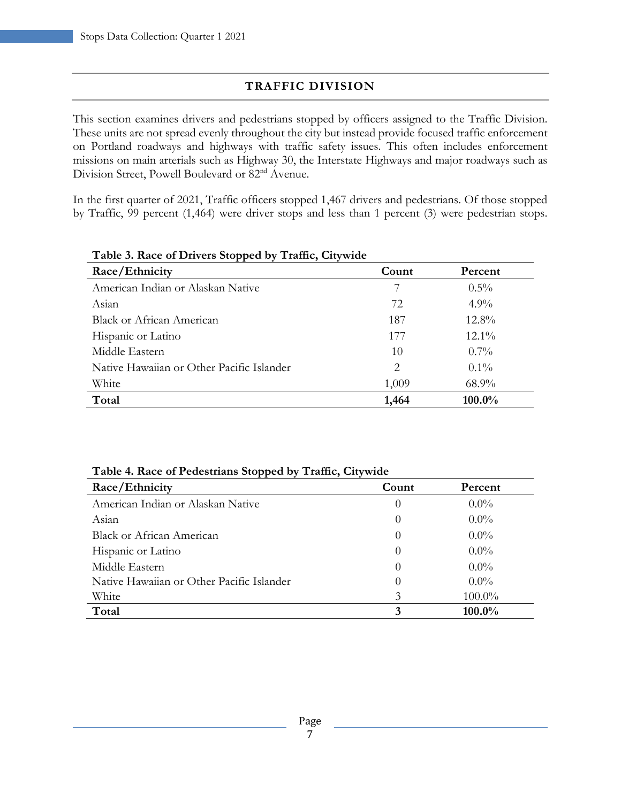# **TRAFFIC DIVISION**

<span id="page-6-0"></span>This section examines drivers and pedestrians stopped by officers assigned to the Traffic Division. These units are not spread evenly throughout the city but instead provide focused traffic enforcement on Portland roadways and highways with traffic safety issues. This often includes enforcement missions on main arterials such as Highway 30, the Interstate Highways and major roadways such as Division Street, Powell Boulevard or 82nd Avenue.

In the first quarter of 2021, Traffic officers stopped 1,467 drivers and pedestrians. Of those stopped by Traffic, 99 percent (1,464) were driver stops and less than 1 percent (3) were pedestrian stops.

| Table 5. Nace of Directs stopped by Trainc, Citywide |       |          |
|------------------------------------------------------|-------|----------|
| Race/Ethnicity                                       | Count | Percent  |
| American Indian or Alaskan Native                    | 7     | $0.5\%$  |
| Asian                                                | 72    | $4.9\%$  |
| Black or African American                            | 187   | $12.8\%$ |
| Hispanic or Latino                                   | 177   | $12.1\%$ |
| Middle Eastern                                       | 10    | $0.7\%$  |
| Native Hawaiian or Other Pacific Islander            | 2     | $0.1\%$  |
| White                                                | 1,009 | $68.9\%$ |
| Total                                                | 1,464 | 100.0%   |

#### **Table 3. Race of Drivers Stopped by Traffic, Citywide**

| Race/Ethnicity                            | Count    | Percent |
|-------------------------------------------|----------|---------|
| American Indian or Alaskan Native         | $\theta$ | $0.0\%$ |
| Asian                                     | $\theta$ | $0.0\%$ |
| <b>Black or African American</b>          |          | $0.0\%$ |
| Hispanic or Latino                        |          | $0.0\%$ |
| Middle Eastern                            |          | $0.0\%$ |
| Native Hawaiian or Other Pacific Islander | $\theta$ | $0.0\%$ |
| White                                     | 3        | 100.0%  |
| Total                                     | 3        | 100.0%  |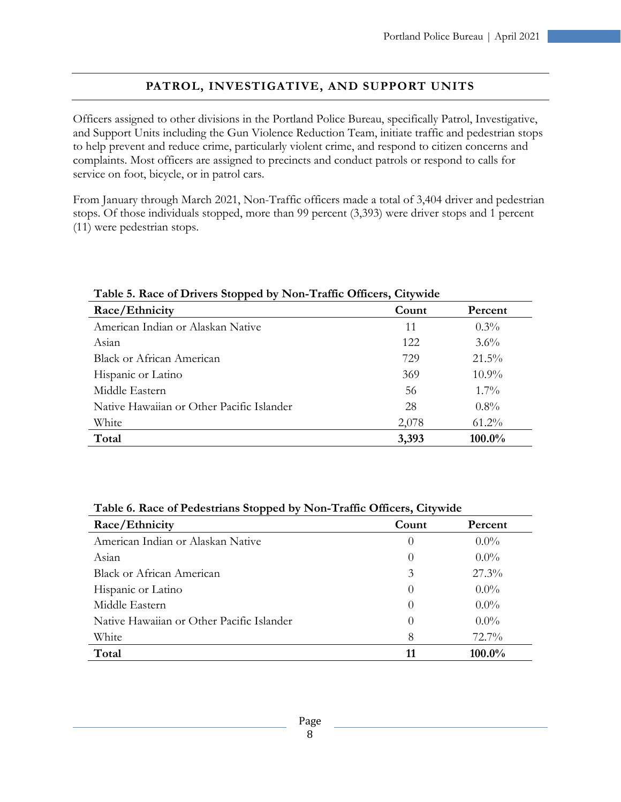# **PATROL, INVESTIGATIVE, AND SUPPORT UNITS**

<span id="page-7-0"></span>Officers assigned to other divisions in the Portland Police Bureau, specifically Patrol, Investigative, and Support Units including the Gun Violence Reduction Team, initiate traffic and pedestrian stops to help prevent and reduce crime, particularly violent crime, and respond to citizen concerns and complaints. Most officers are assigned to precincts and conduct patrols or respond to calls for service on foot, bicycle, or in patrol cars.

From January through March 2021, Non-Traffic officers made a total of 3,404 driver and pedestrian stops. Of those individuals stopped, more than 99 percent (3,393) were driver stops and 1 percent (11) were pedestrian stops.

| Table 5. Race of Dirvers Stopped by Twil-Traine Officers, City write |       |          |  |
|----------------------------------------------------------------------|-------|----------|--|
| Race/Ethnicity                                                       | Count | Percent  |  |
| American Indian or Alaskan Native                                    | 11    | $0.3\%$  |  |
| Asian                                                                | 122   | $3.6\%$  |  |
| <b>Black or African American</b>                                     | 729   | $21.5\%$ |  |
| Hispanic or Latino                                                   | 369   | $10.9\%$ |  |
| Middle Eastern                                                       | 56    | $1.7\%$  |  |
| Native Hawaiian or Other Pacific Islander                            | 28    | $0.8\%$  |  |
| White                                                                | 2,078 | $61.2\%$ |  |
| Total                                                                | 3,393 | 100.0%   |  |

#### **Table 5. Race of Drivers Stopped by Non-Traffic Officers, Citywide**

| Table 6. Race of Pedestrians Stopped by Non-Traffic Officers, Citywide |  |
|------------------------------------------------------------------------|--|
|------------------------------------------------------------------------|--|

| Race/Ethnicity                            | Count    | Percent  |
|-------------------------------------------|----------|----------|
| American Indian or Alaskan Native         | $\theta$ | $0.0\%$  |
| Asian                                     | $\theta$ | $0.0\%$  |
| <b>Black or African American</b>          | 3        | $27.3\%$ |
| Hispanic or Latino                        | $\theta$ | $0.0\%$  |
| Middle Eastern                            | $\theta$ | $0.0\%$  |
| Native Hawaiian or Other Pacific Islander | $\theta$ | $0.0\%$  |
| White                                     | 8        | $72.7\%$ |
| Total                                     | 11       | 100.0%   |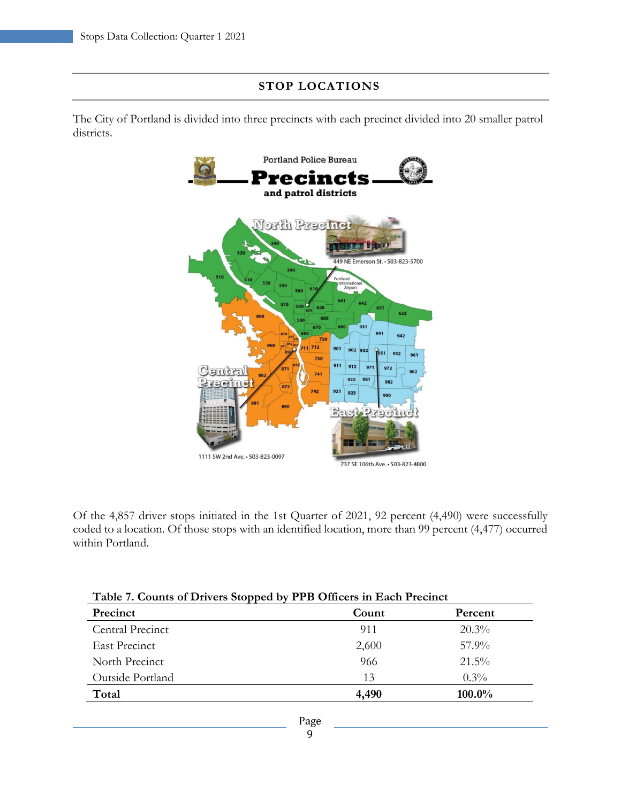#### <span id="page-8-0"></span>**STOP LOCATIONS**

The City of Portland is divided into three precincts with each precinct divided into 20 smaller patrol districts.



Of the 4,857 driver stops initiated in the 1st Quarter of 2021, 92 percent (4,490) were successfully coded to a location. Of those stops with an identified location, more than 99 percent (4,477) occurred within Portland.

| Table 7. Counts of Drivers Stopped by PPB Officers in Each Precinct |       |          |
|---------------------------------------------------------------------|-------|----------|
| Precinct                                                            | Count | Percent  |
| Central Precinct                                                    | 911   | $20.3\%$ |
| <b>East Precinct</b>                                                | 2,600 | $57.9\%$ |
| North Precinct                                                      | 966   | $21.5\%$ |
| Outside Portland                                                    | 13    | $0.3\%$  |
| Total                                                               | 4,490 | 100.0%   |
|                                                                     |       |          |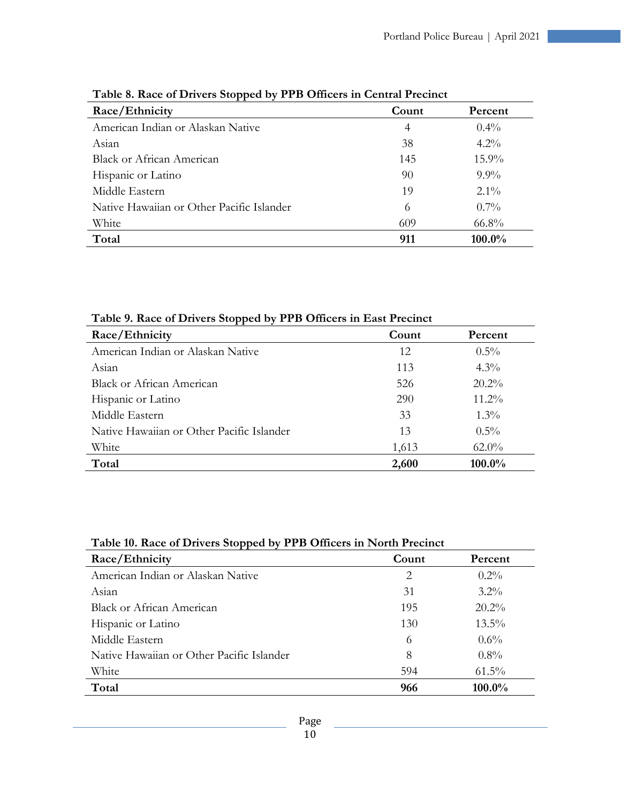| Race/Ethnicity                            | Count | Percent  |
|-------------------------------------------|-------|----------|
| American Indian or Alaskan Native         | 4     | $0.4\%$  |
| Asian                                     | 38    | $4.2\%$  |
| <b>Black or African American</b>          | 145   | $15.9\%$ |
| Hispanic or Latino                        | 90    | $9.9\%$  |
| Middle Eastern                            | 19    | $2.1\%$  |
| Native Hawaiian or Other Pacific Islander | 6     | $0.7\%$  |
| White                                     | 609   | $66.8\%$ |
| Total                                     | 911   | 100.0%   |

|  | Table 8. Race of Drivers Stopped by PPB Officers in Central Precinct |  |  |  |
|--|----------------------------------------------------------------------|--|--|--|
|  |                                                                      |  |  |  |

**Table 9. Race of Drivers Stopped by PPB Officers in East Precinct**

| Race/Ethnicity                            | Count | Percent  |
|-------------------------------------------|-------|----------|
| American Indian or Alaskan Native         | 12    | $0.5\%$  |
| Asian                                     | 113   | $4.3\%$  |
| Black or African American                 | 526   | $20.2\%$ |
| Hispanic or Latino                        | 290   | $11.2\%$ |
| Middle Eastern                            | 33    | $1.3\%$  |
| Native Hawaiian or Other Pacific Islander | 13    | $0.5\%$  |
| White                                     | 1,613 | $62.0\%$ |
| Total                                     | 2,600 | 100.0%   |

| Table 10. Race of Drivers Stopped by PPB Officers in North Precinct |  |
|---------------------------------------------------------------------|--|
|                                                                     |  |

| Race/Ethnicity                            | Count | Percent  |
|-------------------------------------------|-------|----------|
| American Indian or Alaskan Native         | 2     | $0.2\%$  |
| Asian                                     | 31    | $3.2\%$  |
| <b>Black or African American</b>          | 195   | $20.2\%$ |
| Hispanic or Latino                        | 130   | $13.5\%$ |
| Middle Eastern                            | 6     | $0.6\%$  |
| Native Hawaiian or Other Pacific Islander | 8     | $0.8\%$  |
| White                                     | 594   | $61.5\%$ |
| Total                                     | 966   | 100.0%   |